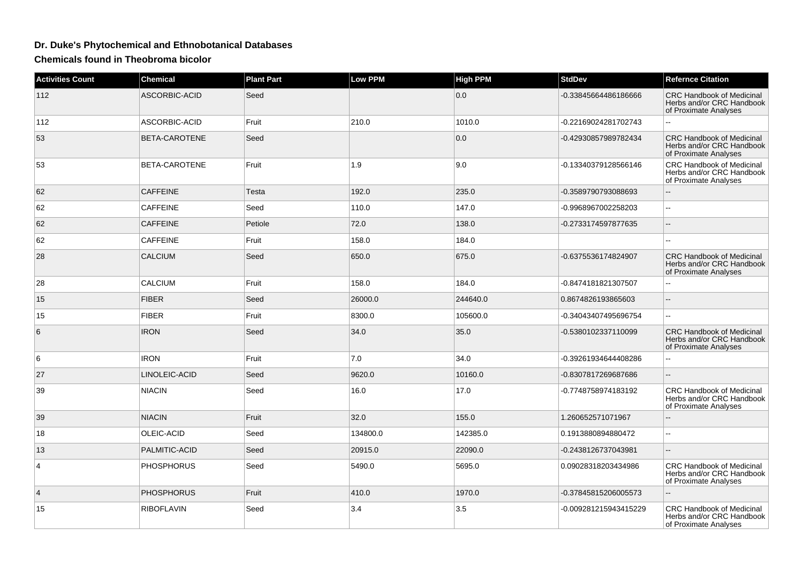## **Dr. Duke's Phytochemical and Ethnobotanical Databases**

**Chemicals found in Theobroma bicolor**

| <b>Activities Count</b> | <b>Chemical</b>   | <b>Plant Part</b> | <b>Low PPM</b> | <b>High PPM</b> | <b>StdDev</b>         | <b>Refernce Citation</b>                                                               |
|-------------------------|-------------------|-------------------|----------------|-----------------|-----------------------|----------------------------------------------------------------------------------------|
| 112                     | ASCORBIC-ACID     | Seed              |                | 0.0             | -0.33845664486186666  | <b>CRC Handbook of Medicinal</b><br>Herbs and/or CRC Handbook<br>of Proximate Analyses |
| 112                     | ASCORBIC-ACID     | Fruit             | 210.0          | 1010.0          | -0.22169024281702743  | ω.                                                                                     |
| 53                      | BETA-CAROTENE     | Seed              |                | 0.0             | -0.42930857989782434  | <b>CRC Handbook of Medicinal</b><br>Herbs and/or CRC Handbook<br>of Proximate Analyses |
| 53                      | BETA-CAROTENE     | Fruit             | 1.9            | 9.0             | -0.13340379128566146  | <b>CRC Handbook of Medicinal</b><br>Herbs and/or CRC Handbook<br>of Proximate Analyses |
| 62                      | <b>CAFFEINE</b>   | Testa             | 192.0          | 235.0           | -0.3589790793088693   |                                                                                        |
| 62                      | <b>CAFFEINE</b>   | Seed              | 110.0          | 147.0           | -0.9968967002258203   | L.                                                                                     |
| 62                      | <b>CAFFEINE</b>   | Petiole           | 72.0           | 138.0           | -0.2733174597877635   |                                                                                        |
| 62                      | <b>CAFFEINE</b>   | Fruit             | 158.0          | 184.0           |                       | --                                                                                     |
| 28                      | <b>CALCIUM</b>    | Seed              | 650.0          | 675.0           | -0.6375536174824907   | <b>CRC Handbook of Medicinal</b><br>Herbs and/or CRC Handbook<br>of Proximate Analyses |
| 28                      | <b>CALCIUM</b>    | Fruit             | 158.0          | 184.0           | -0.8474181821307507   |                                                                                        |
| 15                      | <b>FIBER</b>      | Seed              | 26000.0        | 244640.0        | 0.8674826193865603    | $\qquad \qquad -$                                                                      |
| 15                      | <b>FIBER</b>      | Fruit             | 8300.0         | 105600.0        | -0.34043407495696754  | ÷÷.                                                                                    |
| 6                       | <b>IRON</b>       | Seed              | 34.0           | 35.0            | -0.5380102337110099   | <b>CRC Handbook of Medicinal</b><br>Herbs and/or CRC Handbook<br>of Proximate Analyses |
| 6                       | <b>IRON</b>       | Fruit             | 7.0            | 34.0            | -0.39261934644408286  |                                                                                        |
| 27                      | LINOLEIC-ACID     | Seed              | 9620.0         | 10160.0         | -0.8307817269687686   |                                                                                        |
| 39                      | <b>NIACIN</b>     | Seed              | 16.0           | 17.0            | -0.7748758974183192   | <b>CRC Handbook of Medicinal</b><br>Herbs and/or CRC Handbook<br>of Proximate Analyses |
| 39                      | <b>NIACIN</b>     | Fruit             | 32.0           | 155.0           | 1.260652571071967     | Ξ.                                                                                     |
| 18                      | OLEIC-ACID        | Seed              | 134800.0       | 142385.0        | 0.1913880894880472    | шш.                                                                                    |
| 13                      | PALMITIC-ACID     | Seed              | 20915.0        | 22090.0         | -0.2438126737043981   | Ш,                                                                                     |
| $\overline{4}$          | <b>PHOSPHORUS</b> | Seed              | 5490.0         | 5695.0          | 0.09028318203434986   | <b>CRC Handbook of Medicinal</b><br>Herbs and/or CRC Handbook<br>of Proximate Analyses |
| $\overline{4}$          | <b>PHOSPHORUS</b> | Fruit             | 410.0          | 1970.0          | -0.37845815206005573  |                                                                                        |
| 15                      | <b>RIBOFLAVIN</b> | Seed              | 3.4            | 3.5             | -0.009281215943415229 | <b>CRC Handbook of Medicinal</b><br>Herbs and/or CRC Handbook<br>of Proximate Analyses |